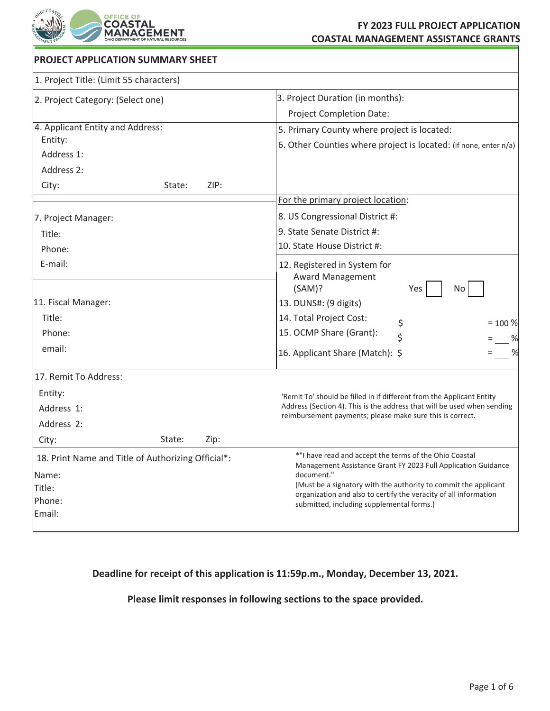

## **FY 2023 FULL PROJECT APPLICATION COASTAL MANAGEMENT ASSISTANCE GRANTS**

| <b>PROJECT APPLICATION SUMMARY SHEET</b>                    |      |                                                                                                                                       |
|-------------------------------------------------------------|------|---------------------------------------------------------------------------------------------------------------------------------------|
| 1. Project Title: (Limit 55 characters)                     |      |                                                                                                                                       |
| 2. Project Category: (Select one)                           |      | 3. Project Duration (in months):                                                                                                      |
|                                                             |      | <b>Project Completion Date:</b>                                                                                                       |
| 4. Applicant Entity and Address:<br>Entity:                 |      | 5. Primary County where project is located:                                                                                           |
|                                                             |      | 6. Other Counties where project is located: (if none, enter n/a)                                                                      |
| Address 1:                                                  |      |                                                                                                                                       |
| Address 2:                                                  |      |                                                                                                                                       |
| City:<br>State:                                             | ZIP: |                                                                                                                                       |
|                                                             |      | For the primary project location:                                                                                                     |
| 7. Project Manager:                                         |      | 8. US Congressional District #:                                                                                                       |
| Title:<br>Phone:                                            |      | 9. State Senate District #:                                                                                                           |
|                                                             |      | 10. State House District #:                                                                                                           |
| E-mail:                                                     |      | 12. Registered in System for<br><b>Award Management</b><br>(SAM)?<br>Yes<br>No                                                        |
| 11. Fiscal Manager:                                         |      | 13. DUNS#: (9 digits)                                                                                                                 |
| Title:                                                      |      | 14. Total Project Cost:                                                                                                               |
| Phone:                                                      |      | \$<br>$= 100 %$<br>15. OCMP Share (Grant):<br>\$                                                                                      |
| email:                                                      |      | %<br>%<br>16. Applicant Share (Match): \$                                                                                             |
| 17. Remit To Address:                                       |      |                                                                                                                                       |
| Entity:                                                     |      | 'Remit To' should be filled in if different from the Applicant Entity                                                                 |
| Address 1:                                                  |      | Address (Section 4). This is the address that will be used when sending                                                               |
| Address 2:                                                  |      | reimbursement payments; please make sure this is correct.                                                                             |
| City:<br>State:                                             | Zip: |                                                                                                                                       |
| 18. Print Name and Title of Authorizing Official*:<br>Name: |      | *"I have read and accept the terms of the Ohio Coastal<br>Management Assistance Grant FY 2023 Full Application Guidance<br>document." |
| Title:                                                      |      | (Must be a signatory with the authority to commit the applicant                                                                       |
| Phone:                                                      |      | organization and also to certify the veracity of all information<br>submitted, including supplemental forms.)                         |
| Email:                                                      |      |                                                                                                                                       |

# **Deadline for receipt of this application is 11:59p.m., Monday, December 13, 2021.**

# **Please limit responses in following sections to the space provided.**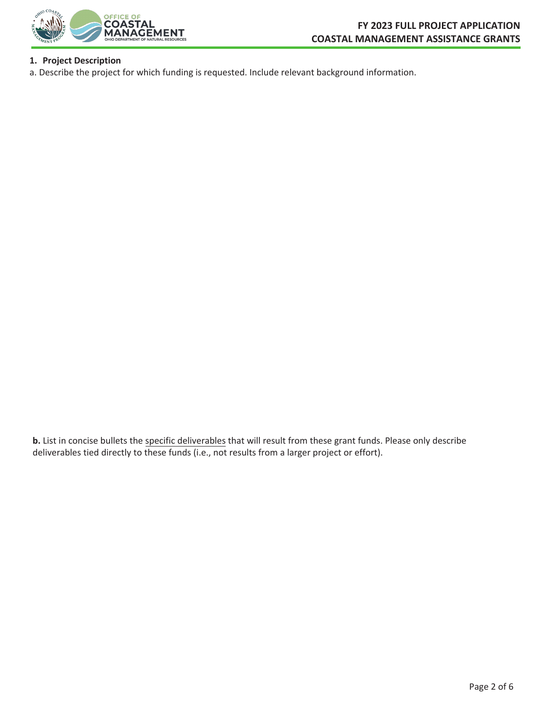

## **1. Project Description**

a. Describe the project for which funding is requested. Include relevant background information.

**b.** List in concise bullets the specific deliverables that will result from these grant funds. Please only describe deliverables tied directly to these funds (i.e., not results from a larger project or effort).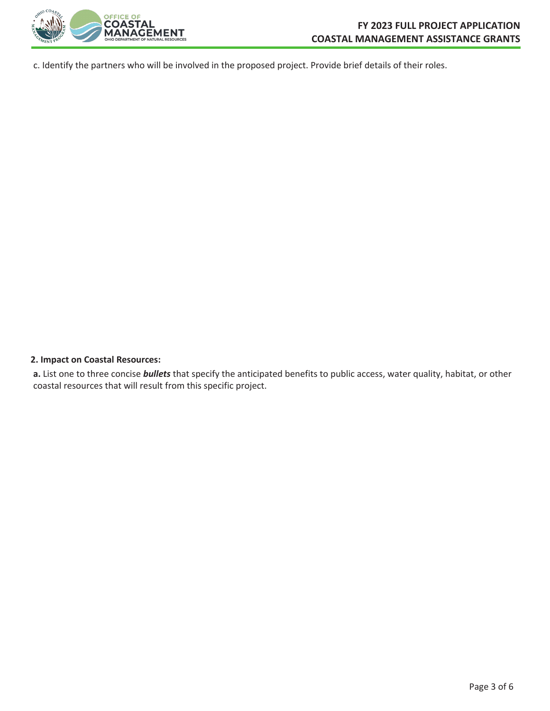

c. Identify the partners who will be involved in the proposed project. Provide brief details of their roles.

#### **2. Impact on Coastal Resources:**

**a.** List one to three concise *bullets* that specify the anticipated benefits to public access, water quality, habitat, or other coastal resources that will result from this specific project.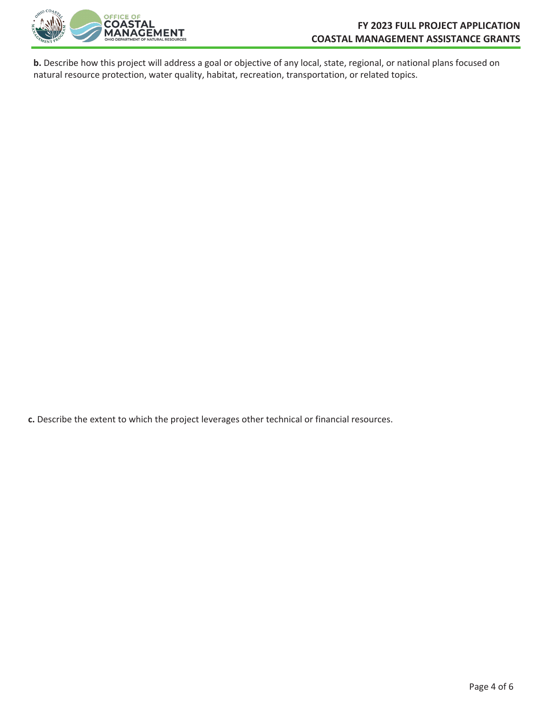

**b.** Describe how this project will address a goal or objective of any local, state, regional, or national plans focused on natural resource protection, water quality, habitat, recreation, transportation, or related topics.

**c.** Describe the extent to which the project leverages other technical or financial resources.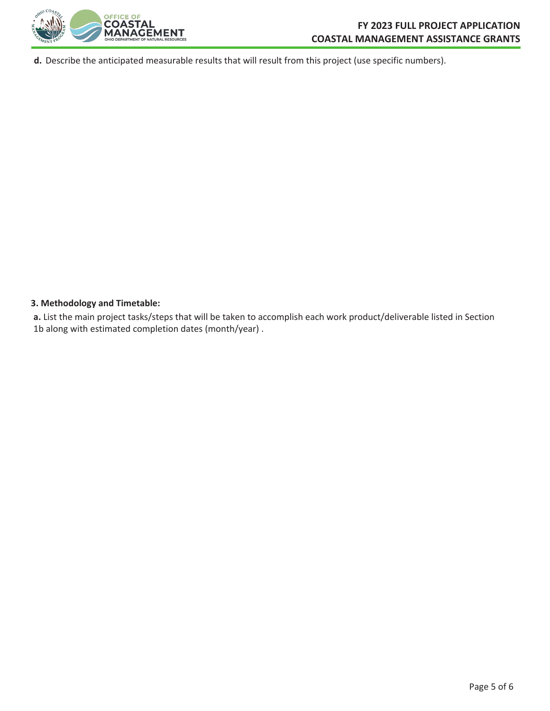

**d.** Describe the anticipated measurable results that will result from this project (use specific numbers).

### **3. Methodology and Timetable:**

**a.** List the main project tasks/steps that will be taken to accomplish each work product/deliverable listed in Section 1b along with estimated completion dates (month/year) .